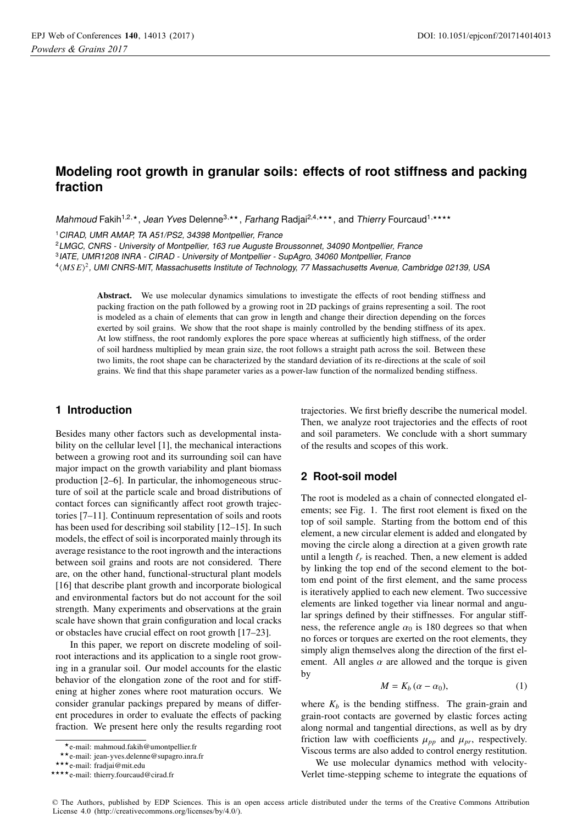# **Modeling root growth in granular soils: effects of root stiffness and packing fraction**

Mahmoud Fakih<sup>1,2,\*</sup>, Jean Yves Delenne<sup>3,\*\*</sup>, Farhang Radjai<sup>2,4,\*\*\*</sup>, and Thierry Fourcaud<sup>1,\*\*\*\*</sup>

<sup>1</sup>CIRAD, UMR AMAP, TA A51/PS2, 34398 Montpellier, France

<sup>2</sup>LMGC, CNRS - University of Montpellier, 163 rue Auguste Broussonnet, 34090 Montpellier, France

<sup>3</sup>IATE, UMR1208 INRA - CIRAD - University of Montpellier - SupAgro, 34060 Montpellier, France

4-*MS E*<sup>2</sup>, UMI CNRS-MIT, Massachusetts Institute of Technology, 77 Massachusetts Avenue, Cambridge 02139, USA

Abstract. We use molecular dynamics simulations to investigate the effects of root bending stiffness and packing fraction on the path followed by a growing root in 2D packings of grains representing a soil. The root is modeled as a chain of elements that can grow in length and change their direction depending on the forces exerted by soil grains. We show that the root shape is mainly controlled by the bending stiffness of its apex. At low stiffness, the root randomly explores the pore space whereas at sufficiently high stiffness, of the order of soil hardness multiplied by mean grain size, the root follows a straight path across the soil. Between these two limits, the root shape can be characterized by the standard deviation of its re-directions at the scale of soil grains. We find that this shape parameter varies as a power-law function of the normalized bending stiffness.

## **1 Introduction**

Besides many other factors such as developmental instability on the cellular level [1], the mechanical interactions between a growing root and its surrounding soil can have major impact on the growth variability and plant biomass production [2–6]. In particular, the inhomogeneous structure of soil at the particle scale and broad distributions of contact forces can significantly affect root growth trajectories [7–11]. Continuum representation of soils and roots has been used for describing soil stability [12–15]. In such models, the effect of soil is incorporated mainly through its average resistance to the root ingrowth and the interactions between soil grains and roots are not considered. There are, on the other hand, functional-structural plant models [16] that describe plant growth and incorporate biological and environmental factors but do not account for the soil strength. Many experiments and observations at the grain scale have shown that grain configuration and local cracks or obstacles have crucial effect on root growth [17–23].

In this paper, we report on discrete modeling of soilroot interactions and its application to a single root growing in a granular soil. Our model accounts for the elastic behavior of the elongation zone of the root and for stiffening at higher zones where root maturation occurs. We consider granular packings prepared by means of different procedures in order to evaluate the effects of packing fraction. We present here only the results regarding root trajectories. We first briefly describe the numerical model. Then, we analyze root trajectories and the effects of root and soil parameters. We conclude with a short summary of the results and scopes of this work.

# **2 Root-soil model**

The root is modeled as a chain of connected elongated elements; see Fig. 1. The first root element is fixed on the top of soil sample. Starting from the bottom end of this element, a new circular element is added and elongated by moving the circle along a direction at a given growth rate until a length  $\ell_r$  is reached. Then, a new element is added by linking the top end of the second element to the bottom end point of the first element, and the same process is iteratively applied to each new element. Two successive elements are linked together via linear normal and angular springs defined by their stiffnesses. For angular stiffness, the reference angle  $\alpha_0$  is 180 degrees so that when no forces or torques are exerted on the root elements, they simply align themselves along the direction of the first element. All angles  $\alpha$  are allowed and the torque is given by

$$
M = K_b (\alpha - \alpha_0), \tag{1}
$$

where  $K_b$  is the bending stiffness. The grain-grain and grain-root contacts are governed by elastic forces acting along normal and tangential directions, as well as by dry friction law with coefficients  $\mu_{pp}$  and  $\mu_{pr}$ , respectively. Viscous terms are also added to control energy restitution.

We use molecular dynamics method with velocity-Verlet time-stepping scheme to integrate the equations of

<sup>-</sup>e-mail: mahmoud.fakih@umontpellier.fr

<sup>-</sup>-e-mail: jean-yves.delenne@supagro.inra.fr

<sup>\*\*\*</sup>e-mail: fradjai@mit.edu

<sup>\*\*\*\*</sup>e-mail: thierry.fourcaud@cirad.fr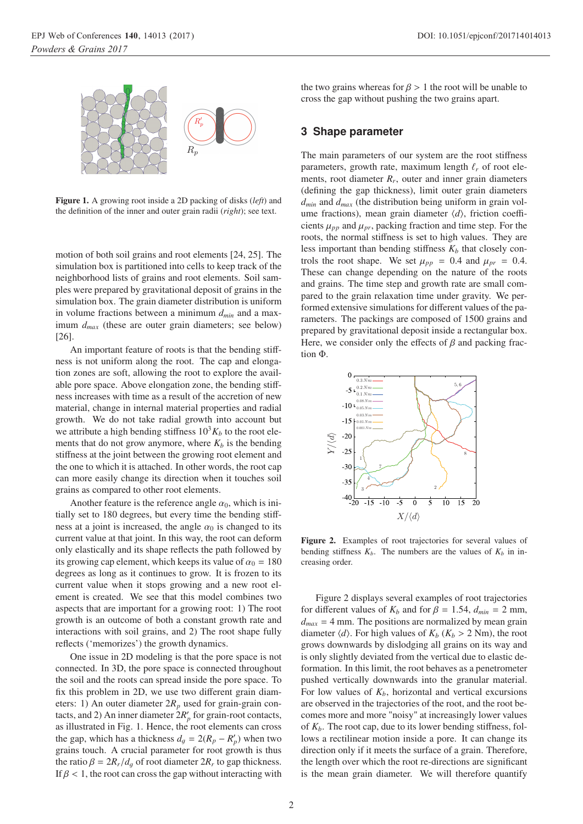

Figure 1. A growing root inside a 2D packing of disks (*left*) and the definition of the inner and outer grain radii (*right*); see text.

motion of both soil grains and root elements [24, 25]. The simulation box is partitioned into cells to keep track of the neighborhood lists of grains and root elements. Soil samples were prepared by gravitational deposit of grains in the simulation box. The grain diameter distribution is uniform in volume fractions between a minimum  $d_{min}$  and a maximum  $d_{max}$  (these are outer grain diameters; see below) [26].

An important feature of roots is that the bending stiffness is not uniform along the root. The cap and elongation zones are soft, allowing the root to explore the available pore space. Above elongation zone, the bending stiffness increases with time as a result of the accretion of new material, change in internal material properties and radial growth. We do not take radial growth into account but we attribute a high bending stiffness  $10^3 K_b$  to the root elements that do not grow anymore, where  $K_b$  is the bending stiffness at the joint between the growing root element and the one to which it is attached. In other words, the root cap can more easily change its direction when it touches soil grains as compared to other root elements.

Another feature is the reference angle  $\alpha_0$ , which is initially set to 180 degrees, but every time the bending stiffness at a joint is increased, the angle  $\alpha_0$  is changed to its current value at that joint. In this way, the root can deform only elastically and its shape reflects the path followed by its growing cap element, which keeps its value of  $\alpha_0 = 180$ degrees as long as it continues to grow. It is frozen to its current value when it stops growing and a new root element is created. We see that this model combines two aspects that are important for a growing root: 1) The root growth is an outcome of both a constant growth rate and interactions with soil grains, and 2) The root shape fully reflects ('memorizes') the growth dynamics.

One issue in 2D modeling is that the pore space is not connected. In 3D, the pore space is connected throughout the soil and the roots can spread inside the pore space. To fix this problem in 2D, we use two different grain diameters: 1) An outer diameter  $2R_p$  used for grain-grain contacts, and 2) An inner diameter  $2R_p'$  for grain-root contacts, as illustrated in Fig. 1. Hence, the root elements can cross the gap, which has a thickness  $d_g = 2(R_p - R'_p)$  when two grains to the amount of the state of the state of the state of the state of the state of the state of the state of the state of the state of the state of the state of grains touch. A crucial parameter for root growth is thus the ratio  $\beta = 2R_r/d_q$  of root diameter  $2R_r$  to gap thickness. If  $\beta$  < 1, the root can cross the gap without interacting with the two grains whereas for  $\beta > 1$  the root will be unable to cross the gap without pushing the two grains apart.

#### **3 Shape parameter**

The main parameters of our system are the root stiffness parameters, growth rate, maximum length  $\ell_r$  of root elements, root diameter  $R_r$ , outer and inner grain diameters (defining the gap thickness), limit outer grain diameters *dmin* and *dmax* (the distribution being uniform in grain volume fractions), mean grain diameter  $\langle d \rangle$ , friction coefficients  $\mu_{pp}$  and  $\mu_{pr}$ , packing fraction and time step. For the roots, the normal stiffness is set to high values. They are less important than bending stiffness  $K_b$  that closely controls the root shape. We set  $\mu_{pp} = 0.4$  and  $\mu_{pr} = 0.4$ . These can change depending on the nature of the roots and grains. The time step and growth rate are small compared to the grain relaxation time under gravity. We performed extensive simulations for different values of the parameters. The packings are composed of 1500 grains and prepared by gravitational deposit inside a rectangular box. Here, we consider only the effects of  $\beta$  and packing fraction Φ.



Figure 2. Examples of root trajectories for several values of bending stiffness  $K_b$ . The numbers are the values of  $K_b$  in increasing order.

Figure 2 displays several examples of root trajectories for different values of  $K_b$  and for  $\beta = 1.54$ ,  $d_{min} = 2$  mm,  $d_{max}$  = 4 mm. The positions are normalized by mean grain diameter  $\langle d \rangle$ . For high values of  $K_b$  ( $K_b > 2$  Nm), the root<br>grows downwards by dislodeing all grains on its way and grows downwards by dislodging all grains on its way and is only slightly deviated from the vertical due to elastic deformation. In this limit, the root behaves as a penetrometer pushed vertically downwards into the granular material. For low values of  $K_b$ , horizontal and vertical excursions are observed in the trajectories of the root, and the root becomes more and more "noisy" at increasingly lower values of  $K_b$ . The root cap, due to its lower bending stiffness, follows a rectilinear motion inside a pore. It can change its direction only if it meets the surface of a grain. Therefore, the length over which the root re-directions are significant is the mean grain diameter. We will therefore quantify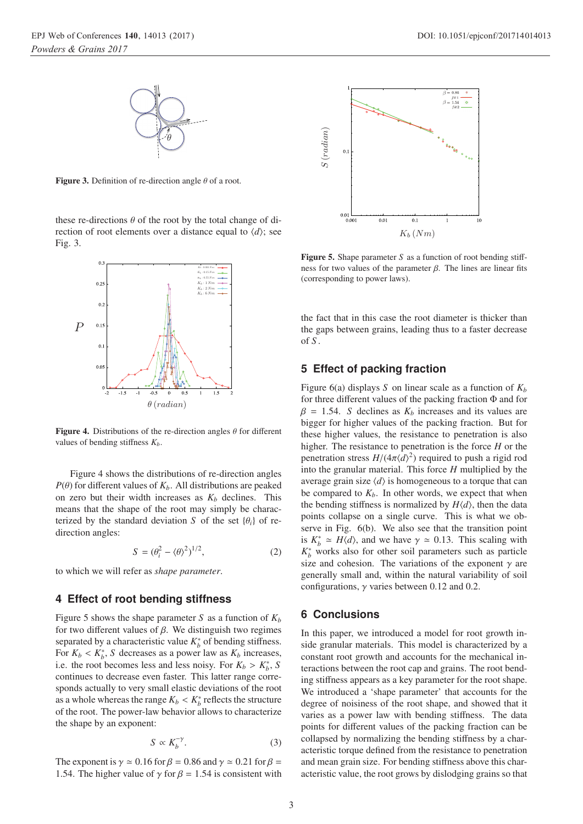**Figure 3.** Definition of re-direction angle  $\theta$  of a root.

these re-directions  $\theta$  of the root by the total change of direction of root elements over a distance equal to  $\langle d \rangle$ ; see Fig. 3.



Figure 4. Distributions of the re-direction angles  $\theta$  for different values of bending stiffness  $K_b$ .

Figure 4 shows the distributions of re-direction angles  $P(\theta)$  for different values of  $K_b$ . All distributions are peaked on zero but their width increases as  $K_b$  declines. This means that the shape of the root may simply be characterized by the standard deviation *S* of the set  $\{\theta_i\}$  of redirection angles:

$$
S = (\theta_i^2 - \langle \theta \rangle^2)^{1/2}, \tag{2}
$$

to which we will refer as *shape parameter*.

#### **4 Effect of root bending stiffness**

Figure 5 shows the shape parameter *S* as a function of  $K_b$ for two different values of β. We distinguish two regimes separated by a characteristic value  $K_b^*$  of bending stiffness. For  $K_b < K_b^*$ , *S* decreases as a power law as  $K_b$  increases,<br>i.e. the root becomes less and less noisy. For  $K_b > K^*$ , S i.e. the root becomes less and less noisy. For  $K_b > K_b^*$ , *S* continues to decrease even faster. This latter range correcontinues to decrease even faster. This latter range corresponds actually to very small elastic deviations of the root as a whole whereas the range  $K_b < K_b^*$  reflects the structure<br>of the root. The power-law behavior allows to characterize of the root. The power-law behavior allows to characterize the shape by an exponent:

$$
S \propto K_b^{-\gamma}.\tag{3}
$$

The exponent is  $\gamma \simeq 0.16$  for  $\beta = 0.86$  and  $\gamma \simeq 0.21$  for  $\beta =$ 1.54. The higher value of  $\gamma$  for  $\beta$  = 1.54 is consistent with



Figure 5. Shape parameter *S* as a function of root bending stiffness for two values of the parameter  $\beta$ . The lines are linear fits (corresponding to power laws).

the fact that in this case the root diameter is thicker than the gaps between grains, leading thus to a faster decrease of *S* .

# **5 Effect of packing fraction**

Figure 6(a) displays *S* on linear scale as a function of  $K_b$ for three different values of the packing fraction Φ and for  $\beta = 1.54$ . *S* declines as  $K_b$  increases and its values are bigger for higher values of the packing fraction. But for these higher values, the resistance to penetration is also higher. The resistance to penetration is the force *H* or the penetration stress  $H/(4\pi\langle d\rangle^2)$  required to push a rigid rod<br>into the grapular material. This force H multiplied by the into the granular material. This force *H* multiplied by the average grain size  $\langle d \rangle$  is homogeneous to a torque that can be compared to  $K_b$ . In other words, we expect that when the bending stiffness is normalized by  $H\langle d\rangle$ , then the data points collapse on a single curve. This is what we observe in Fig. 6(b). We also see that the transition point is  $K_b^* \simeq H \langle d \rangle$ , and we have  $\gamma \simeq 0.13$ . This scaling with  $K^*$  works also for other soil parameters such as particle  $K_b^*$  works also for other soil parameters such as particle size and cohesion. The variations of the exponent  $\gamma$  are generally small and, within the natural variability of soil configurations,  $\gamma$  varies between 0.12 and 0.2.

## **6 Conclusions**

In this paper, we introduced a model for root growth inside granular materials. This model is characterized by a constant root growth and accounts for the mechanical interactions between the root cap and grains. The root bending stiffness appears as a key parameter for the root shape. We introduced a 'shape parameter' that accounts for the degree of noisiness of the root shape, and showed that it varies as a power law with bending stiffness. The data points for different values of the packing fraction can be collapsed by normalizing the bending stiffness by a characteristic torque defined from the resistance to penetration and mean grain size. For bending stiffness above this characteristic value, the root grows by dislodging grains so that